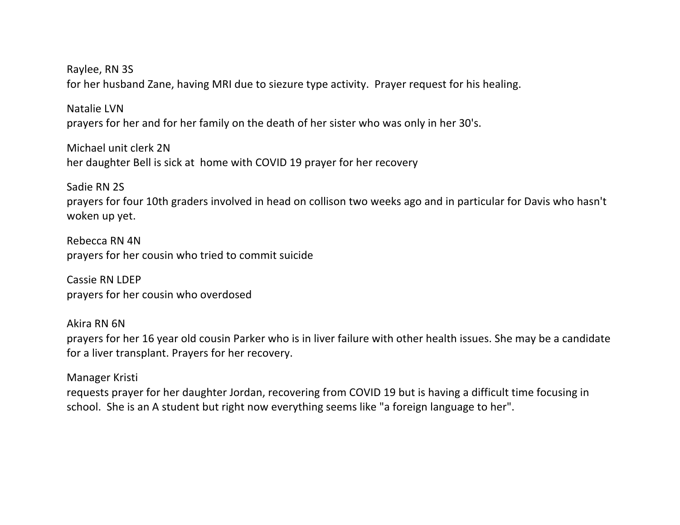Raylee, RN 3S for her husband Zane, having MRI due to siezure type activity. Prayer request for his healing.

Natalie LVN prayers for her and for her family on the death of her sister who was only in her 30's.

Michael unit clerk 2N her daughter Bell is sick at home with COVID 19 prayer for her recovery

Sadie RN 2S prayers for four 10th graders involved in head on collison two weeks ago and in particular for Davis who hasn't woken up yet.

Rebecca RN 4N prayers for her cousin who tried to commit suicide

Cassie RN LDEP prayers for her cousin who overdosed

Akira RN 6N prayers for her 16 year old cousin Parker who is in liver failure with other health issues. She may be a candidate for a liver transplant. Prayers for her recovery.

Manager Kristi

requests prayer for her daughter Jordan, recovering from COVID 19 but is having a difficult time focusing in school. She is an A student but right now everything seems like "a foreign language to her".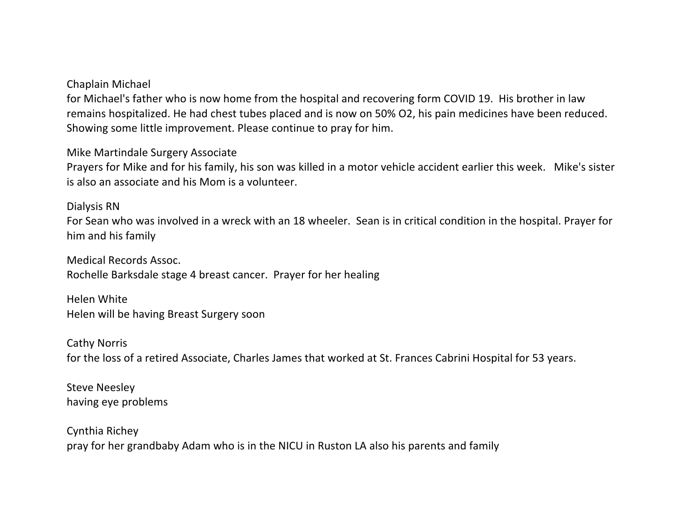## Chaplain Michael

for Michael's father who is now home from the hospital and recovering form COVID 19. His brother in law remains hospitalized. He had chest tubes placed and is now on 50% O2, his pain medicines have been reduced. Showing some little improvement. Please continue to pray for him.

Mike Martindale Surgery Associate

Prayers for Mike and for his family, his son was killed in a motor vehicle accident earlier this week. Mike's sister is also an associate and his Mom is a volunteer.

Dialysis RN

For Sean who was involved in a wreck with an 18 wheeler. Sean is in critical condition in the hospital. Prayer for him and his family

Medical Records Assoc. Rochelle Barksdale stage 4 breast cancer. Prayer for her healing

Helen White Helen will be having Breast Surgery soon

Cathy Norris for the loss of a retired Associate, Charles James that worked at St. Frances Cabrini Hospital for 53 years.

Steve Neesley having eye problems

Cynthia Richey pray for her grandbaby Adam who is in the NICU in Ruston LA also his parents and family